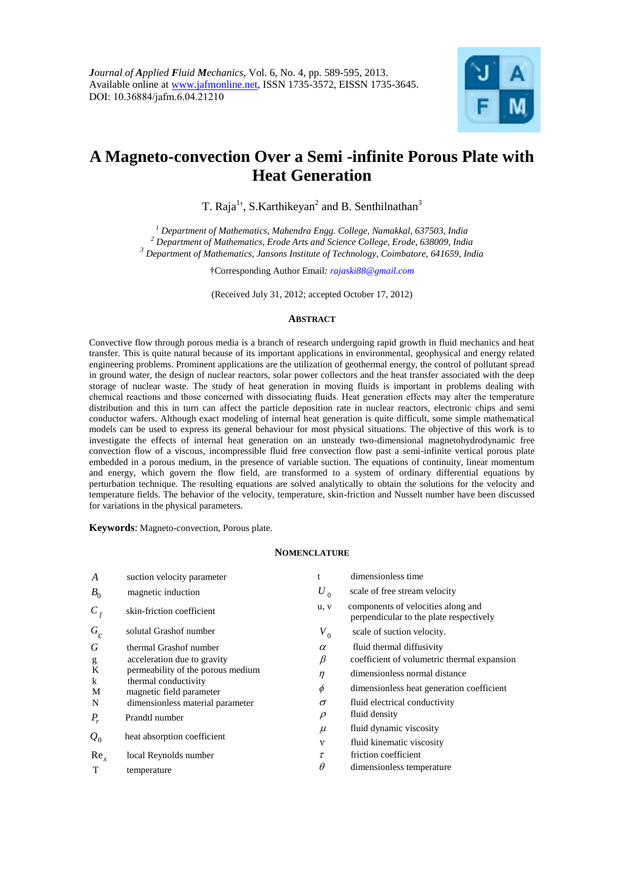

# **A Magneto-convection Over a Semi -infinite Porous Plate with Heat Generation**

T. Raja<sup>1†</sup>, S.Karthikeyan<sup>2</sup> and B. Senthilnathan<sup>3</sup>

*<sup>1</sup> Department of Mathematics, Mahendra Engg. College, Namakkal, 637503, India <sup>2</sup> Department of Mathematics, Erode Arts and Science College, Erode, 638009, India <sup>3</sup> Department of Mathematics, Jansons Institute of Technology, Coimbatore, 641659, India*

†Corresponding Author Email*: [rajaski88@gmail.com](mailto:rajaski88@gmail.com)*

(Received July 31, 2012; accepted October 17, 2012)

## **ABSTRACT**

Convective flow through porous media is a branch of research undergoing rapid growth in fluid mechanics and heat transfer. This is quite natural because of its important applications in environmental, geophysical and energy related engineering problems. Prominent applications are the utilization of geothermal energy, the control of pollutant spread in ground water, the design of nuclear reactors, solar power collectors and the heat transfer associated with the deep storage of nuclear waste. The study of heat generation in moving fluids is important in problems dealing with chemical reactions and those concerned with dissociating fluids. Heat generation effects may alter the temperature distribution and this in turn can affect the particle deposition rate in nuclear reactors, electronic chips and semi conductor wafers. Although exact modeling of internal heat generation is quite difficult, some simple mathematical models can be used to express its general behaviour for most physical situations. The objective of this work is to investigate the effects of internal heat generation on an unsteady two-dimensional magnetohydrodynamic free convection flow of a viscous, incompressible fluid free convection flow past a semi-infinite vertical porous plate embedded in a porous medium, in the presence of variable suction. The equations of continuity, linear momentum and energy, which govern the flow field, are transformed to a system of ordinary differential equations by perturbation technique. The resulting equations are solved analytically to obtain the solutions for the velocity and temperature fields. The behavior of the velocity, temperature, skin-friction and Nusselt number have been discussed for variations in the physical parameters.

**Keywords**: Magneto-convection, Porous plate.

#### **NOMENCLATURE**

| A               | suction velocity parameter                       | t           | dimensionless time                                                            |
|-----------------|--------------------------------------------------|-------------|-------------------------------------------------------------------------------|
| $B_0$           | magnetic induction                               | $U_0$       | scale of free stream velocity                                                 |
| $C_f$           | skin-friction coefficient                        | u, v        | components of velocities along and<br>perpendicular to the plate respectively |
| $G_c$           | solutal Grashof number                           | $V_{0}$     | scale of suction velocity.                                                    |
| G               | thermal Grashof number                           | $\alpha$    | fluid thermal diffusivity                                                     |
| g               | acceleration due to gravity                      | $_{\beta}$  | coefficient of volumetric thermal expansion                                   |
| K               | permeability of the porous medium                | $\eta$      | dimensionless normal distance                                                 |
| $\bf k$<br>M    | thermal conductivity<br>magnetic field parameter | $\phi$      | dimensionless heat generation coefficient                                     |
| N               | dimensionless material parameter                 | $\sigma$    | fluid electrical conductivity                                                 |
| $P_{r}$         | Prandtl number                                   | $\rho$      | fluid density                                                                 |
|                 |                                                  | $\mu$       | fluid dynamic viscosity                                                       |
| $Q_0$           | heat absorption coefficient                      | $\mathbf v$ | fluid kinematic viscosity                                                     |
| Re <sub>x</sub> | local Reynolds number                            | τ           | friction coefficient                                                          |
| T               | temperature                                      | $\theta$    | dimensionless temperature                                                     |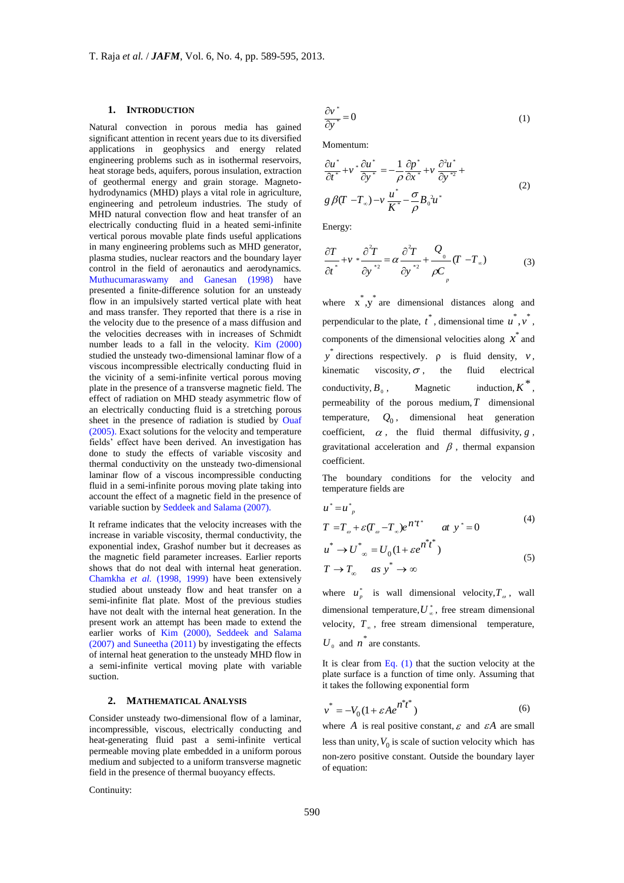#### **1. INTRODUCTION**

Natural convection in porous media has gained significant attention in recent years due to its diversified applications in geophysics and energy related engineering problems such as in isothermal reservoirs, heat storage beds, aquifers, porous insulation, extraction of geothermal energy and grain storage. Magnetohydrodynamics (MHD) plays a vital role in agriculture, engineering and petroleum industries. The study of MHD natural convection flow and heat transfer of an electrically conducting fluid in a heated semi-infinite vertical porous movable plate finds useful applications in many engineering problems such as MHD generator, plasma studies, nuclear reactors and the boundary layer control in the field of aeronautics and aerodynamics. Muthucumaraswamy and Ganesan (1998) have presented a finite-difference solution for an unsteady flow in an impulsively started vertical plate with heat and mass transfer. They reported that there is a rise in the velocity due to the presence of a mass diffusion and the velocities decreases with in increases of Schmidt number leads to a fall in the velocity. Kim (2000) studied the unsteady two-dimensional laminar flow of a viscous incompressible electrically conducting fluid in the vicinity of a semi-infinite vertical porous moving plate in the presence of a transverse magnetic field. The effect of radiation on MHD steady asymmetric flow of an electrically conducting fluid is a stretching porous sheet in the presence of radiation is studied by Ouaf (2005). Exact solutions for the velocity and temperature fields' effect have been derived. An investigation has done to study the effects of variable viscosity and thermal conductivity on the unsteady two-dimensional laminar flow of a viscous incompressible conducting fluid in a semi-infinite porous moving plate taking into account the effect of a magnetic field in the presence of variable suction by Seddeek and Salama (2007).

It reframe indicates that the velocity increases with the increase in variable viscosity, thermal conductivity, the exponential index, Grashof number but it decreases as the magnetic field parameter increases. Earlier reports shows that do not deal with internal heat generation. Chamkha *et al.* (1998, 1999) have been extensively studied about unsteady flow and heat transfer on a semi-infinite flat plate. Most of the previous studies have not dealt with the internal heat generation. In the present work an attempt has been made to extend the earlier works of Kim (2000), Seddeek and Salama (2007) and Suneetha (2011) by investigating the effects of internal heat generation to the unsteady MHD flow in a semi-infinite vertical moving plate with variable suction.

## **2. MATHEMATICAL ANALYSIS**

Consider unsteady two-dimensional flow of a laminar, incompressible, viscous, electrically conducting and heat-generating fluid past a semi-infinite vertical permeable moving plate embedded in a uniform porous medium and subjected to a uniform transverse magnetic field in the presence of thermal buoyancy effects.

Continuity:

$$
\frac{\partial v^*}{\partial y^*} = 0\tag{1}
$$

Momentum:

$$
\frac{\partial u^*}{\partial t^*} + v^* \frac{\partial u^*}{\partial y^*} = -\frac{1}{\rho} \frac{\partial p^*}{\partial x^*} + v \frac{\partial^2 u^*}{\partial y^{*2}} +
$$
  
g \beta (T - T<sub>\infty</sub>) - v  $\frac{u^*}{K^*} - \frac{\sigma}{\rho} B_0^2 u^*$  (2)

Energy:

$$
\frac{\partial T}{\partial t^*} + v * \frac{\partial^2 T}{\partial y^{*2}} = \alpha \frac{\partial^2 T}{\partial y^{*2}} + \frac{Q}{\rho C} (T - T_\infty)
$$
(3)

where  $\vec{x}$ ,  $\vec{y}$  are dimensional distances along and perpendicular to the plate,  $t^*$ , dimensional time  $u^*, v^*$ , components of the dimensional velocities along  $\vec{x}$  and  $y^*$  directions respectively.  $\rho$  is fluid density,  $v$ , kinematic viscosity,  $\sigma$ , the fluid electrical conductivity,  $B_0$ .  $,$  Magnetic induction,  $K^*$ , permeability of the porous medium, *T* dimensional temperature, *Q*0 , dimensional heat generation coefficient,  $\alpha$ , the fluid thermal diffusivity,  $g$ , gravitational acceleration and  $\beta$ , thermal expansion coefficient.

The boundary conditions for the velocity and temperature fields are

$$
u^* = u^*_{p}
$$
  
\n
$$
T = T_{\omega} + \varepsilon (T_{\omega} - T_{\omega})e^{nt^*}
$$
 at  $y^* = 0$  (4)

$$
u^* \to U^*_{\infty} = U_0 (1 + \varepsilon e^{i\theta^* t^*})
$$
\n
$$
(5)
$$

$$
T \to T_{\infty} \quad \text{as } y^* \to \infty
$$
 (5)

where  $u_p^*$  is wall dimensional velocity,  $T_\omega$ , wall dimensional temperature,  $U^*_{\infty}$ , free stream dimensional velocity,  $T_{\infty}$ , free stream dimensional temperature,  $U_0$  and  $n^*$  are constants.

It is clear from Eq. (1) that the suction velocity at the plate surface is a function of time only. Assuming that it takes the following exponential form

$$
v^* = -V_0(1 + \varepsilon A e^{n^*t^*})
$$
\n(6)

where A is real positive constant,  $\varepsilon$  and  $\varepsilon A$  are small less than unity,  $V_0$  is scale of suction velocity which has non-zero positive constant. Outside the boundary layer of equation: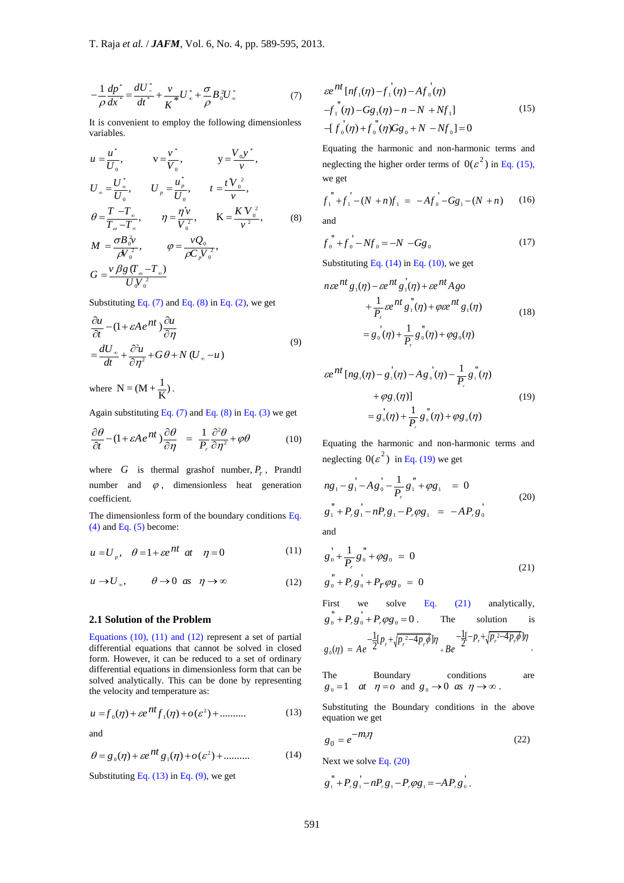$$
-\frac{1}{\rho}\frac{dp^*}{dx^*} = \frac{dU_*^*}{dt^*} + \frac{v}{K^*}U_*^* + \frac{\sigma}{\rho}B_0^2U_*^*
$$
(7)

It is convenient to employ the following dimensionless variables.

$$
-\frac{1}{\rho} \frac{dp^*}{dx^*} = \frac{dU^*}{dt^*} + \frac{v}{K^*} U^* + \frac{\sigma}{\rho} B_0^* U^* + \frac{\sigma}{\rho} B_0^* U^* + \frac{\sigma}{\rho} B_0^* U^* + \frac{\sigma}{\rho} B_0^* U^* + \frac{\sigma}{\rho} B_0^* U^* + \frac{\sigma}{\rho} B_0^* U^* + \frac{\sigma}{\rho} B_0^* U^* + \frac{\sigma}{\rho} B_0^* U^* + \frac{\sigma}{\rho} B_0^* U^* + \frac{\sigma}{\rho} B_0^* U^* + \frac{\sigma}{\rho} B_0^* U^* + \frac{\sigma}{\rho} B_0^* U^* + \frac{\sigma}{\rho} B_0^* U^* + \frac{\sigma}{\rho} B_0^* U^* + \frac{\sigma}{\rho} B_0^* U^* + \frac{\sigma}{\rho} B_0^* U^* + \frac{\sigma}{\rho} B_0^* U^* + \frac{\sigma}{\rho} B_0^* U^* + \frac{\sigma}{\rho} B_0^* U^* + \frac{\sigma}{\rho} B_0^* U^* + \frac{\sigma}{\rho} B_0^* U^* + \frac{\sigma}{\rho} B_0^* U^* + \frac{\sigma}{\rho} B_0^* U^* + \frac{\sigma}{\rho} B_0^* U^* + \frac{\sigma}{\rho} B_0^* + \frac{\sigma}{\rho} B_0^* + \frac{\sigma}{\rho} B_0^* + \frac{\sigma}{\rho} B_0^* + \frac{\sigma}{\rho} B_0^* + \frac{\sigma}{\rho} B_0^* + \frac{\sigma}{\rho} B_0^* + \frac{\sigma}{\rho} B_0^* + \frac{\sigma}{\rho} B_0^* + \frac{\sigma}{\rho} B_0^* + \frac{\sigma}{\rho} B_0^* + \frac{\sigma}{\rho} B_0^* + \frac{\sigma}{\rho} B_0^* + \frac{\sigma}{\rho} B_0^* + \frac{\sigma}{\rho} B_0^* + \frac{\sigma}{\rho} B_0^* + \frac{\sigma}{\rho} B_0^* + \frac{\sigma}{\rho} B_0^* + \frac{\sigma}{\rho} B_0^* + \frac{\sigma}{\rho} B_0^* + \frac{\sigma}{\rho} B_0^* + \frac{\sigma}{\rho} B_0
$$

Substituting Eq.  $(7)$  and Eq.  $(8)$  in Eq.  $(2)$ , we get

$$
\frac{\partial u}{\partial t} - (1 + \varepsilon A e^{nt}) \frac{\partial u}{\partial \eta} \n= \frac{dU_x}{dt} + \frac{\partial^2 u}{\partial \eta^2} + G \theta + N (U_x - u)
$$
\n(9)

where  $N = (M + \frac{1}{K})$ .

Again substituting Eq.  $(7)$  and Eq.  $(8)$  in Eq.  $(3)$  we get

$$
\frac{\partial \theta}{\partial t} - (1 + \varepsilon A e^{nt}) \frac{\partial \theta}{\partial \eta} = \frac{1}{P_r} \frac{\partial^2 \theta}{\partial \eta^2} + \varphi \theta \tag{10}
$$

where *G* is thermal grashof number,  $P_r$ , Prandtl number and  $\varphi$ , dimensionless heat generation coefficient.

The dimensionless form of the boundary conditions Eq.  $(4)$  and Eq.  $(5)$  become:

$$
u = U_p, \quad \theta = 1 + \varepsilon e^{nt} \quad at \quad \eta = 0 \tag{11}
$$

$$
u \to U_{\infty}, \qquad \theta \to 0 \text{ as } \eta \to \infty \tag{12}
$$

### **2.1 Solution of the Problem**

Equations (10), (11) and (12) represent a set of partial differential equations that cannot be solved in closed form. However, it can be reduced to a set of ordinary differential equations in dimensionless form that can be solved analytically. This can be done by representing the velocity and temperature as:

$$
u = f_0(\eta) + \varepsilon e^{nt} f_1(\eta) + o(\varepsilon^2) + \dots \tag{13}
$$

and

$$
\theta = g_0(\eta) + \varepsilon e^{nt} g_1(\eta) + o(\varepsilon^2) + \dots \tag{14}
$$

Substituting Eq.  $(13)$  in Eq.  $(9)$ , we get

$$
\varepsilon e^{nt} \left[ nf_1(\eta) - f_1(\eta) - Af_0(\eta) - \int_0^{\eta} (\eta) - \int_0^{\eta} (\eta) - Gg_1(\eta) - n - N + Nf_1 \right]
$$
\n
$$
- \left[ f_0(\eta) + f_0(\eta)Gg_0 + N - Nf_0 \right] = 0
$$
\n(15)

Equating the harmonic and non-harmonic terms and neglecting the higher order terms of  $0(\varepsilon^2)$  in Eq. (15), we get

we get  

$$
f_1^{"} + f_1^{"} - (N + n)f_1 = -Af_0^{"} - Gg_1 - (N + n) \qquad (16)
$$

and

$$
f_0^{"} + f_0^{"} - Nf_0 = -N - Gg_0
$$
 (17)

Substituting Eq.  $(14)$  in Eq.  $(10)$ , we get

$$
n\varepsilon e^{nt} g_1(\eta) - \varepsilon e^{nt} g_1(\eta) + \varepsilon e^{nt} Ago
$$
  
+ 
$$
\frac{1}{P_r} \varepsilon e^{nt} g_1(\eta) + \varphi \varepsilon e^{nt} g_1(\eta)
$$
  
= 
$$
g_0(\eta) + \frac{1}{P_r} g_0(\eta) + \varphi g_0(\eta)
$$
 (18)

$$
\varepsilon e^{nt} \left[ n g_{\perp}(\eta) - g_{\perp}(\eta) - A g_{\circ}(\eta) - \frac{1}{P_{r}} g_{\perp}(\eta) \right] + \varphi g_{\perp}(\eta) \Big]
$$
  
=  $g_{\circ}(\eta) + \frac{1}{P_{r}} g_{\circ}(\eta) + \varphi g_{\circ}(\eta)$  (19)

Equating the harmonic and non-harmonic terms and neglecting  $0(\varepsilon^2)$  in Eq. (19) we get

$$
ng_1 - g_1 - Ag_0' - \frac{1}{P_r}g_1'' + \varphi g_1 = 0
$$
  
\n
$$
g_1'' + P_r g_1' - nP_r g_1 - P_r \varphi g_1 = -AP_r g_0'
$$
 (20)  
\nand

$$
g_0' + \frac{1}{P_r} g_0'' + \varphi g_0 = 0
$$
  

$$
g_0'' + P_r g_0' + P_r \varphi g_0 = 0
$$
 (21)

First we solve Eq. (21) analytically,  $g_0^{"} + P_r g_0^{'} + P_r \varphi g_0 = 0$ The solution is  $T_0 + P_r g_0 + P_r \varphi g_0 = 0$ . The solution<br>  $T_0(\eta) = Ae^{-\frac{1}{2}[p_r + \sqrt{p_r^2 - 4p_r \phi}]\eta} + Be^{-\frac{1}{2}[-p_r + \sqrt{p_r^2 - 4p_r \phi}]}$  $\[\rho \rho g_0 = 0\]$ . The solution<br>  $p_r + \sqrt{p_r^2 - 4p_r \phi} \]\eta \left[ \rho_r - \frac{1}{2} \left[ -p_r + \sqrt{p_r^2 - 4p_r} \right] \right]$  $g_0(\eta) = Ae^{-\frac{1}{2}[p_r + \sqrt{p_r^2 - 4p_r\phi}]\eta} + Be$ +  $P_r g_0 + P_r \varphi g_0 = 0$ . The solution is<br>  $\pi(\eta) = A e^{-\frac{1}{2} [\rho_r + \sqrt{p_r^2 - 4p_r \phi}] \eta} + B e^{-\frac{1}{2} [-p_r + \sqrt{p_r^2 - 4p_r \phi}] \eta}$ .

The Boundary conditions are  $g_0 = 1$  at  $\eta = 0$  and  $g_0 \to 0$  as  $\eta \to \infty$ .

Substituting the Boundary conditions in the above equation we get

$$
g_0 = e^{-m_i \eta} \tag{22}
$$

Next we solve Eq. (20)

$$
g_1^{"} + P_r g_1^{'} - n P_r g_1 - P_r \varphi g_1 = -A P_r g_0^{'}.
$$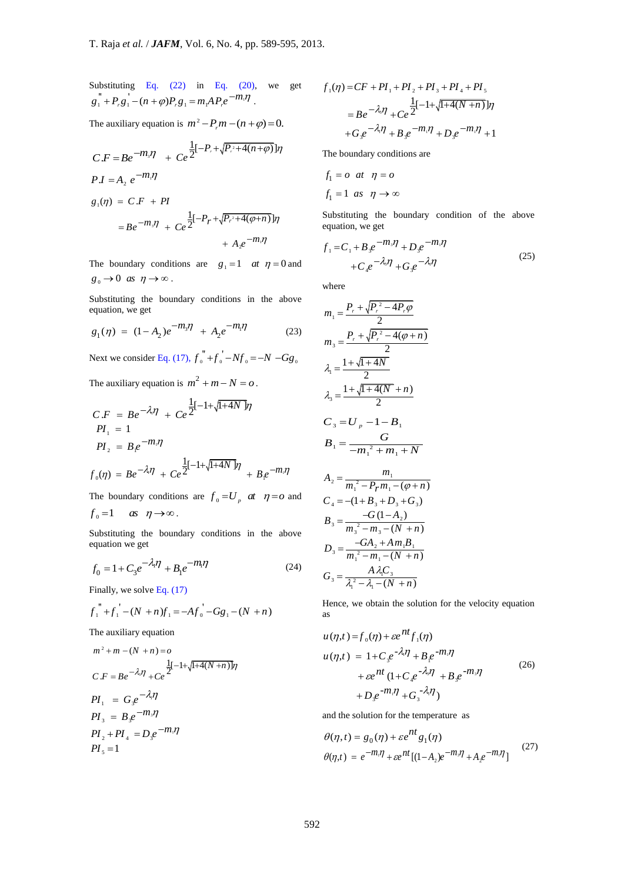Substituting Eq. (22) in Eq. (20), we get Substituting Eq. (22) in Eq. (20),<br>  $g_1^{"} + P_r g_1^{'} - (n + \varphi)P_r g_1 = m_r A P_r e^{-m_r \eta}$ .

The auxiliary equation is  $m^2 - P_r m - (n + \varphi) = 0$ .

$$
C.F = Be^{-m_s \eta} + Ce^{\frac{1}{2}[-P_{r} + \sqrt{P_{r} + 4(n + \varphi)}]\eta}
$$
  
\n
$$
PI = A_2 e^{-m_t \eta}
$$
  
\n
$$
g_1(\eta) = C.F + PI
$$
  
\n
$$
= Be^{-m_s \eta} + Ce^{\frac{1}{2}[-P_{r} + \sqrt{P_{r} + 4(\varphi + n)}]\eta} + A_2 e^{-m_t \eta}
$$

The boundary conditions are  $g_1 = 1$  at  $\eta = 0$  and  $g_0 \rightarrow 0$  as  $\eta \rightarrow \infty$ .

Substituting the boundary conditions in the above equation, we get

$$
g_1(\eta) = (1 - A_2)e^{-m_3\eta} + A_2e^{-m_1\eta}
$$
 (23)

Next we consider Eq. (17),  $f_0^{\text{''}} + f_0^{\text{'}} - Nf_0 = -N - Gg_0$ 

The auxiliary equation is  $m^2 + m - N = 0$ .

$$
C.F = Be^{-\lambda \eta} + Ce^{\frac{1}{2}[-1+\sqrt{1+4N}\eta]}
$$
  
\n
$$
PI_{1} = 1
$$
  
\n
$$
PI_{2} = B_{1}e^{-m_{1}\eta}
$$
  
\n
$$
f_{0}(\eta) = Be^{-\lambda \eta} + Ce^{\frac{1}{2}[-1+\sqrt{1+4N}\eta]} + Be^{-m_{1}\eta}
$$

The boundary conditions are  $f_0 = U_p$  at  $\eta = o$  and  $f_0 = 1$  as  $\eta \rightarrow \infty$ .

Substituting the boundary conditions in the above equation we get

$$
f_0 = 1 + C_3 e^{-\lambda_l \eta} + B_1 e^{-m_l \eta}
$$
 (24)

Finally, we solve Eq. (17)  

$$
f_1^{"} + f_1^{"} - (N + n)f_1 = -Af_0^{"} - Gg_1 - (N + n)
$$

The auxiliary equation

$$
m^{2} + m - (N + n) = o
$$
  
\n
$$
C \cdot F = Be^{-\lambda_{1}} \eta + Ce^{\frac{1}{2}[-1 + \sqrt{1 + 4(N + n)}]} \eta
$$
  
\n
$$
PI_{1} = G_{3}e^{-\lambda_{1}} \eta
$$
  
\n
$$
PI_{2} = B_{3}e^{-m_{2}} \eta
$$
  
\n
$$
PI_{3} = D_{3}e^{-m_{1}} \eta
$$
  
\n
$$
PI_{4} = D_{3}e^{-m_{1}} \eta
$$
  
\n
$$
PI_{5} = 1
$$

$$
f_1(\eta) = CF + PI_1 + PI_2 + PI_3 + PI_4 + PI_5
$$
  
=  $Be^{-\lambda_i \eta} + Ce^{\frac{1}{2}[-1 + \sqrt{1 + 4(N + n)}]\eta}$   
+  $G_3e^{-\lambda_i \eta} + B_3e^{-m_i \eta} + D_3e^{-m_i \eta} + 1$ 

The boundary conditions are

$$
f_1 = o \quad at \quad \eta = o
$$
  

$$
f_1 = 1 \quad as \quad \eta \to \infty
$$

Substituting the boundary condition of the above equation, we get

$$
f_1 = C_1 + B_3 e^{-m_3 \eta} + D_3 e^{-m_1 \eta}
$$
  
+ 
$$
C_4 e^{-\lambda_3 \eta} + G_3 e^{-\lambda_1 \eta}
$$
 (25)

where

$$
m_{1} = \frac{P_{r} + \sqrt{P_{r}^{2} - 4P_{r}\varphi}}{2}
$$
\n
$$
m_{3} = \frac{P_{r} + \sqrt{P_{r}^{2} - 4(\varphi + n)}}{2}
$$
\n
$$
\lambda_{1} = \frac{1 + \sqrt{1 + 4N}}{2}
$$
\n
$$
\lambda_{3} = \frac{1 + \sqrt{1 + 4(N + n)}}{2}
$$
\n
$$
C_{3} = U_{p} - 1 - B_{1}
$$
\n
$$
B_{1} = \frac{G}{-m_{1}^{2} + m_{1} + N}
$$
\n
$$
A_{2} = \frac{m_{1}}{m_{1}^{2} - P_{r}m_{1} - (\varphi + n)}
$$
\n
$$
C_{4} = -(1 + B_{3} + D_{3} + G_{3})
$$
\n
$$
B_{3} = \frac{-G(1 - A_{2})}{m_{3}^{2} - m_{3} - (N + n)}
$$
\n
$$
D_{3} = \frac{-G A_{2} + A m_{1} B_{1}}{m_{1}^{2} - m_{1} - (N + n)}
$$
\n
$$
G_{3} = \frac{A \lambda_{1} C_{3}}{\lambda_{1}^{2} - \lambda_{1} - (N + n)}
$$

Hence, we obtain the solution for the velocity equation as

$$
u(\eta, t) = f_0(\eta) + \varepsilon e^{nt} f_1(\eta)
$$
  
\n
$$
u(\eta, t) = 1 + C_s e^{-\lambda_1 \eta} + B_t e^{-m_1 \eta}
$$
  
\n
$$
+ \varepsilon e^{nt} (1 + C_s e^{-\lambda_2 \eta} + B_s e^{-m_2 \eta})
$$
  
\n
$$
+ D_s e^{-m_1 \eta} + G_s^{-\lambda_1 \eta})
$$
\n(26)

and the solution for the temperature as

$$
\theta(\eta, t) = g_0(\eta) + \varepsilon e^{nt} g_1(\eta)
$$
  

$$
\theta(\eta, t) = e^{-m\eta} + \varepsilon e^{nt} [(1 - A_2)e^{-m\eta} + A_2 e^{-m\eta}]
$$
 (27)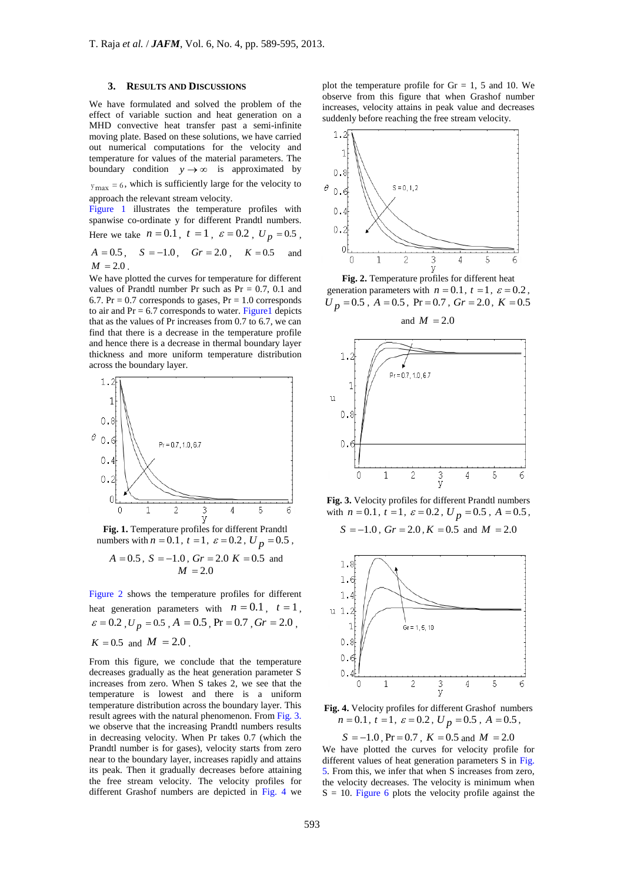## **3. RESULTS AND DISCUSSIONS**

We have formulated and solved the problem of the effect of variable suction and heat generation on a MHD convective heat transfer past a semi-infinite moving plate. Based on these solutions, we have carried out numerical computations for the velocity and temperature for values of the material parameters. The boundary condition  $y \rightarrow \infty$  is approximated by  $y_{\text{max}} = 6$ , which is sufficiently large for the velocity to approach the relevant stream velocity.

Figure 1 illustrates the temperature profiles with spanwise co-ordinate y for different Prandtl numbers. Here we take  $n = 0.1$ ,  $t = 1$ ,  $\varepsilon = 0.2$ ,  $U_p = 0.5$ ,  $A = 0.5$ ,  $S = -1.0$ ,  $Gr = 2.0$ ,  $K = 0.5$  and  $M = 2.0$ .

We have plotted the curves for temperature for different values of Prandtl number Pr such as  $Pr = 0.7, 0.1$  and 6.7. Pr =  $0.7$  corresponds to gases, Pr = 1.0 corresponds to air and  $Pr = 6.7$  corresponds to water. Figure 1 depicts that as the values of Pr increases from 0.7 to 6.7, we can find that there is a decrease in the temperature profile and hence there is a decrease in thermal boundary layer thickness and more uniform temperature distribution across the boundary layer.



**Fig. 1.** Temperature profiles for different Prandtl numbers with  $n = 0.1$ ,  $t = 1$ ,  $\varepsilon = 0.2$ ,  $U_p = 0.5$ ,

$$
A = 0.5
$$
,  $S = -1.0$ ,  $Gr = 2.0$   $K = 0.5$  and  
 $M = 2.0$ 

Figure 2 shows the temperature profiles for different heat generation parameters with  $n = 0.1$ ,  $t = 1$ ,  $\varepsilon = 0.2$ ,  $U_p = 0.5$ ,  $A = 0.5$ ,  $Pr = 0.7$ ,  $Gr = 2.0$ ,

$$
K = 0.5
$$
 and  $M = 2.0$ .

From this figure, we conclude that the temperature decreases gradually as the heat generation parameter S increases from zero. When S takes 2, we see that the temperature is lowest and there is a uniform temperature distribution across the boundary layer. This result agrees with the natural phenomenon. From Fig. 3. we observe that the increasing Prandtl numbers results in decreasing velocity. When Pr takes 0.7 (which the Prandtl number is for gases), velocity starts from zero near to the boundary layer, increases rapidly and attains its peak. Then it gradually decreases before attaining the free stream velocity. The velocity profiles for different Grashof numbers are depicted in Fig. 4 we

plot the temperature profile for  $Gr = 1, 5$  and 10. We observe from this figure that when Grashof number increases, velocity attains in peak value and decreases suddenly before reaching the free stream velocity.



**Fig. 2.** Temperature profiles for different heat generation parameters with  $n = 0.1$ ,  $t = 1$ ,  $\varepsilon = 0.2$ ,  $U_p = 0.5$ ,  $A = 0.5$ ,  $Pr = 0.7$ ,  $Gr = 2.0$ ,  $K = 0.5$ 





**Fig. 3.** Velocity profiles for different Prandtl numbers with  $n = 0.1$ ,  $t = 1$ ,  $\varepsilon = 0.2$ ,  $U_p = 0.5$ ,  $A = 0.5$ ,  $S = -1.0$ ,  $Gr = 2.0$ ,  $K = 0.5$  and  $M = 2.0$ 



**Fig. 4.** Velocity profiles for different Grashof numbers  $n = 0.1, t = 1, \varepsilon = 0.2, U_p = 0.5, A = 0.5,$ 

 $S = -1.0$ ,  $Pr = 0.7$ ,  $K = 0.5$  and  $M = 2.0$ 

We have plotted the curves for velocity profile for different values of heat generation parameters S in Fig. 5. From this, we infer that when S increases from zero, the velocity decreases. The velocity is minimum when  $S = 10$ . Figure 6 plots the velocity profile against the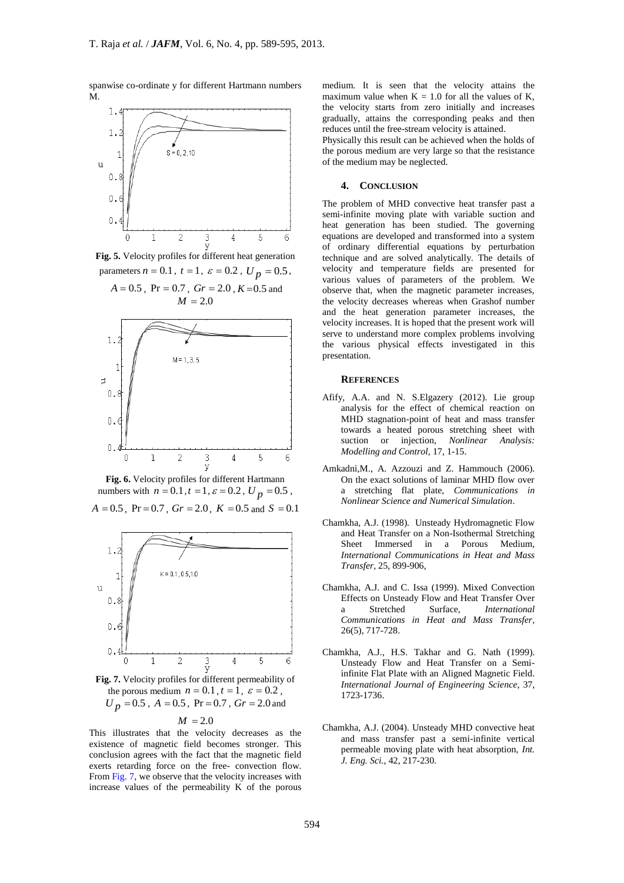spanwise co-ordinate y for different Hartmann numbers M.



**Fig. 5.** Velocity profiles for different heat generation parameters  $n = 0.1$ ,  $t = 1$ ,  $\varepsilon = 0.2$ ,  $U_p = 0.5$ ,





**Fig. 6.** Velocity profiles for different Hartmann numbers with  $n = 0.1$ ,  $t = 1$ ,  $\varepsilon = 0.2$ ,  $U_p = 0.5$ ,  $A = 0.5$ ,  $Pr = 0.7$ ,  $Gr = 2.0$ ,  $K = 0.5$  and  $S = 0.1$ 



**Fig. 7.** Velocity profiles for different permeability of the porous medium  $n = 0.1$ ,  $t = 1$ ,  $\varepsilon = 0.2$ ,  $U_p = 0.5$ ,  $A = 0.5$ ,  $Pr = 0.7$ ,  $Gr = 2.0$  and

$$
M = 2.0
$$

This illustrates that the velocity decreases as the existence of magnetic field becomes stronger. This conclusion agrees with the fact that the magnetic field exerts retarding force on the free- convection flow. From Fig. 7, we observe that the velocity increases with increase values of the permeability K of the porous medium. It is seen that the velocity attains the maximum value when  $K = 1.0$  for all the values of K, the velocity starts from zero initially and increases gradually, attains the corresponding peaks and then reduces until the free-stream velocity is attained.

Physically this result can be achieved when the holds of the porous medium are very large so that the resistance of the medium may be neglected.

#### **4. CONCLUSION**

The problem of MHD convective heat transfer past a semi-infinite moving plate with variable suction and heat generation has been studied. The governing equations are developed and transformed into a system of ordinary differential equations by perturbation technique and are solved analytically. The details of velocity and temperature fields are presented for various values of parameters of the problem. We observe that, when the magnetic parameter increases, the velocity decreases whereas when Grashof number and the heat generation parameter increases, the velocity increases. It is hoped that the present work will serve to understand more complex problems involving the various physical effects investigated in this presentation.

#### **REFERENCES**

- Afify, A.A. and N. S.Elgazery (2012). Lie group analysis for the effect of chemical reaction on MHD stagnation-point of heat and mass transfer towards a heated porous stretching sheet with suction or injection, *Nonlinear Analysis: Modelling and Control*, 17, 1-15.
- Amkadni,M., A. Azzouzi and Z. Hammouch (2006). On the exact solutions of laminar MHD flow over a stretching flat plate, *Communications in Nonlinear Science and Numerical Simulation*.
- Chamkha, A.J. (1998). Unsteady Hydromagnetic Flow and Heat Transfer on a Non-Isothermal Stretching Sheet Immersed in a Porous Medium, *International Communications in Heat and Mass Transfer*, 25, 899-906,
- Chamkha, A.J. and C. Issa (1999). Mixed Convection Effects on Unsteady Flow and Heat Transfer Over a Stretched Surface, *International Communications in Heat and Mass Transfer*, 26(5), 717-728.
- Chamkha, A.J., H.S. Takhar and G. Nath (1999). Unsteady Flow and Heat Transfer on a Semiinfinite Flat Plate with an Aligned Magnetic Field. *International Journal of Engineering Science*, 37, 1723-1736.
- Chamkha, A.J. (2004). Unsteady MHD convective heat and mass transfer past a semi-infinite vertical permeable moving plate with heat absorption, *Int. J. Eng. Sci.*, 42, 217-230.